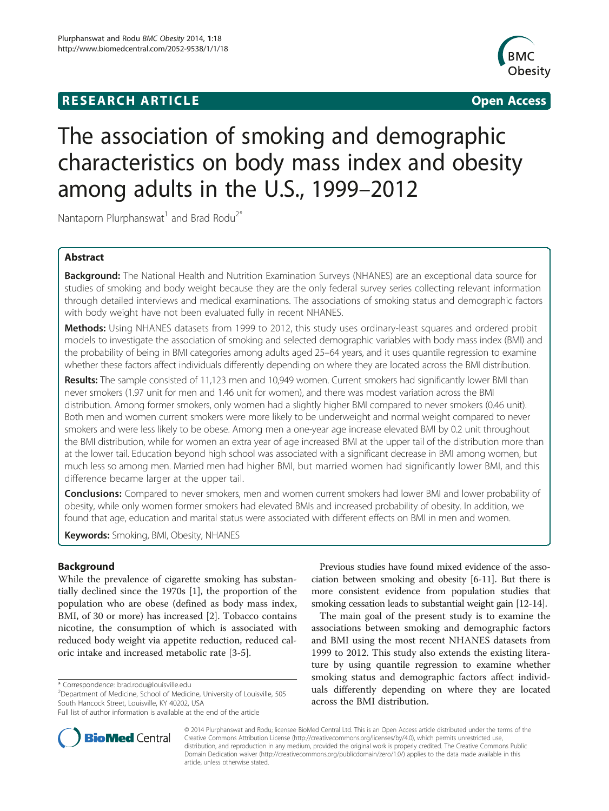## **RESEARCH ARTICLE Example 2014 12:30 The SEAR CH ACCESS**



# The association of smoking and demographic characteristics on body mass index and obesity among adults in the U.S., 1999–2012

Nantaporn Plurphanswat<sup>1</sup> and Brad Rodu<sup>2\*</sup>

## Abstract

Background: The National Health and Nutrition Examination Surveys (NHANES) are an exceptional data source for studies of smoking and body weight because they are the only federal survey series collecting relevant information through detailed interviews and medical examinations. The associations of smoking status and demographic factors with body weight have not been evaluated fully in recent NHANES.

Methods: Using NHANES datasets from 1999 to 2012, this study uses ordinary-least squares and ordered probit models to investigate the association of smoking and selected demographic variables with body mass index (BMI) and the probability of being in BMI categories among adults aged 25–64 years, and it uses quantile regression to examine whether these factors affect individuals differently depending on where they are located across the BMI distribution.

Results: The sample consisted of 11,123 men and 10,949 women. Current smokers had significantly lower BMI than never smokers (1.97 unit for men and 1.46 unit for women), and there was modest variation across the BMI distribution. Among former smokers, only women had a slightly higher BMI compared to never smokers (0.46 unit). Both men and women current smokers were more likely to be underweight and normal weight compared to never smokers and were less likely to be obese. Among men a one-year age increase elevated BMI by 0.2 unit throughout the BMI distribution, while for women an extra year of age increased BMI at the upper tail of the distribution more than at the lower tail. Education beyond high school was associated with a significant decrease in BMI among women, but much less so among men. Married men had higher BMI, but married women had significantly lower BMI, and this difference became larger at the upper tail.

Conclusions: Compared to never smokers, men and women current smokers had lower BMI and lower probability of obesity, while only women former smokers had elevated BMIs and increased probability of obesity. In addition, we found that age, education and marital status were associated with different effects on BMI in men and women.

Keywords: Smoking, BMI, Obesity, NHANES

## Background

While the prevalence of cigarette smoking has substantially declined since the 1970s [\[1](#page-7-0)], the proportion of the population who are obese (defined as body mass index, BMI, of 30 or more) has increased [[2\]](#page-7-0). Tobacco contains nicotine, the consumption of which is associated with reduced body weight via appetite reduction, reduced caloric intake and increased metabolic rate [\[3-5](#page-8-0)].

\* Correspondence: [brad.rodu@louisville.edu](mailto:brad.rodu@louisville.edu) <sup>2</sup>

<sup>2</sup>Department of Medicine, School of Medicine, University of Louisville, 505 South Hancock Street, Louisville, KY 40202, USA

Previous studies have found mixed evidence of the association between smoking and obesity [\[6-11\]](#page-8-0). But there is more consistent evidence from population studies that smoking cessation leads to substantial weight gain [[12](#page-8-0)-[14](#page-8-0)].

The main goal of the present study is to examine the associations between smoking and demographic factors and BMI using the most recent NHANES datasets from 1999 to 2012. This study also extends the existing literature by using quantile regression to examine whether smoking status and demographic factors affect individuals differently depending on where they are located across the BMI distribution.



© 2014 Plurphanswat and Rodu; licensee BioMed Central Ltd. This is an Open Access article distributed under the terms of the Creative Commons Attribution License (http://creativecommons.org/licenses/by/4.0), which permits unrestricted use, distribution, and reproduction in any medium, provided the original work is properly credited. The Creative Commons Public Domain Dedication waiver (http://creativecommons.org/publicdomain/zero/1.0/) applies to the data made available in this article, unless otherwise stated.

Full list of author information is available at the end of the article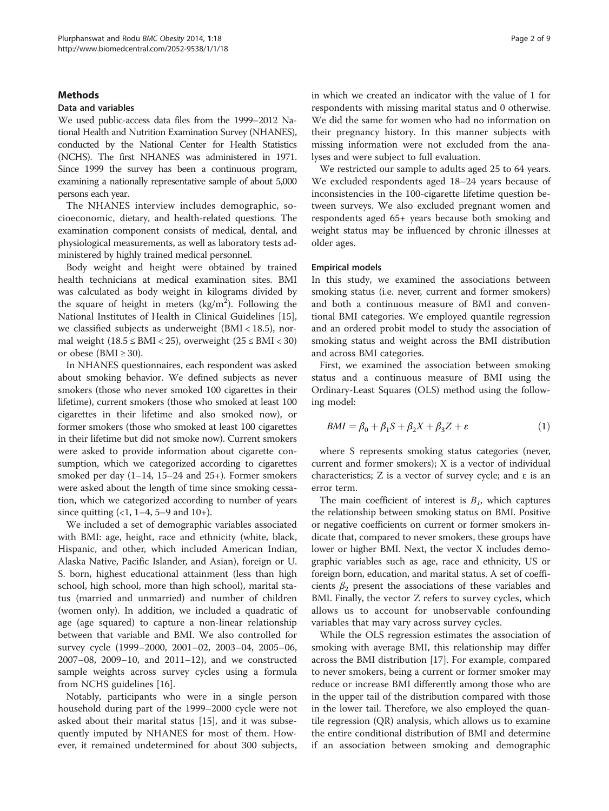### **Methods**

#### Data and variables

We used public-access data files from the 1999–2012 National Health and Nutrition Examination Survey (NHANES), conducted by the National Center for Health Statistics (NCHS). The first NHANES was administered in 1971. Since 1999 the survey has been a continuous program, examining a nationally representative sample of about 5,000 persons each year.

The NHANES interview includes demographic, socioeconomic, dietary, and health-related questions. The examination component consists of medical, dental, and physiological measurements, as well as laboratory tests administered by highly trained medical personnel.

Body weight and height were obtained by trained health technicians at medical examination sites. BMI was calculated as body weight in kilograms divided by the square of height in meters (kg/m<sup>2</sup>). Following the National Institutes of Health in Clinical Guidelines [\[15](#page-8-0)], we classified subjects as underweight (BMI < 18.5), normal weight  $(18.5 \leq BMI < 25)$ , overweight  $(25 \leq BMI < 30)$ or obese (BMI  $\geq$  30).

In NHANES questionnaires, each respondent was asked about smoking behavior. We defined subjects as never smokers (those who never smoked 100 cigarettes in their lifetime), current smokers (those who smoked at least 100 cigarettes in their lifetime and also smoked now), or former smokers (those who smoked at least 100 cigarettes in their lifetime but did not smoke now). Current smokers were asked to provide information about cigarette consumption, which we categorized according to cigarettes smoked per day  $(1-14, 15-24, 25+1)$ . Former smokers were asked about the length of time since smoking cessation, which we categorized according to number of years since quitting  $(1, 1-4, 5-9)$  and  $10+$ ).

We included a set of demographic variables associated with BMI: age, height, race and ethnicity (white, black, Hispanic, and other, which included American Indian, Alaska Native, Pacific Islander, and Asian), foreign or U. S. born, highest educational attainment (less than high school, high school, more than high school), marital status (married and unmarried) and number of children (women only). In addition, we included a quadratic of age (age squared) to capture a non-linear relationship between that variable and BMI. We also controlled for survey cycle (1999–2000, 2001–02, 2003–04, 2005–06, 2007–08, 2009–10, and 2011–12), and we constructed sample weights across survey cycles using a formula from NCHS guidelines [\[16](#page-8-0)].

Notably, participants who were in a single person household during part of the 1999–2000 cycle were not asked about their marital status [[15](#page-8-0)], and it was subsequently imputed by NHANES for most of them. However, it remained undetermined for about 300 subjects, in which we created an indicator with the value of 1 for respondents with missing marital status and 0 otherwise. We did the same for women who had no information on their pregnancy history. In this manner subjects with missing information were not excluded from the analyses and were subject to full evaluation.

We restricted our sample to adults aged 25 to 64 years. We excluded respondents aged 18–24 years because of inconsistencies in the 100-cigarette lifetime question between surveys. We also excluded pregnant women and respondents aged 65+ years because both smoking and weight status may be influenced by chronic illnesses at older ages.

#### Empirical models

In this study, we examined the associations between smoking status (i.e. never, current and former smokers) and both a continuous measure of BMI and conventional BMI categories. We employed quantile regression and an ordered probit model to study the association of smoking status and weight across the BMI distribution and across BMI categories.

First, we examined the association between smoking status and a continuous measure of BMI using the Ordinary-Least Squares (OLS) method using the following model:

$$
BMI = \beta_0 + \beta_1 S + \beta_2 X + \beta_3 Z + \varepsilon
$$
 (1)

where S represents smoking status categories (never, current and former smokers); X is a vector of individual characteristics; Z is a vector of survey cycle; and ε is an error term.

The main coefficient of interest is  $B<sub>1</sub>$ , which captures the relationship between smoking status on BMI. Positive or negative coefficients on current or former smokers indicate that, compared to never smokers, these groups have lower or higher BMI. Next, the vector X includes demographic variables such as age, race and ethnicity, US or foreign born, education, and marital status. A set of coefficients  $\beta_2$  present the associations of these variables and BMI. Finally, the vector Z refers to survey cycles, which allows us to account for unobservable confounding variables that may vary across survey cycles.

While the OLS regression estimates the association of smoking with average BMI, this relationship may differ across the BMI distribution [[17\]](#page-8-0). For example, compared to never smokers, being a current or former smoker may reduce or increase BMI differently among those who are in the upper tail of the distribution compared with those in the lower tail. Therefore, we also employed the quantile regression (QR) analysis, which allows us to examine the entire conditional distribution of BMI and determine if an association between smoking and demographic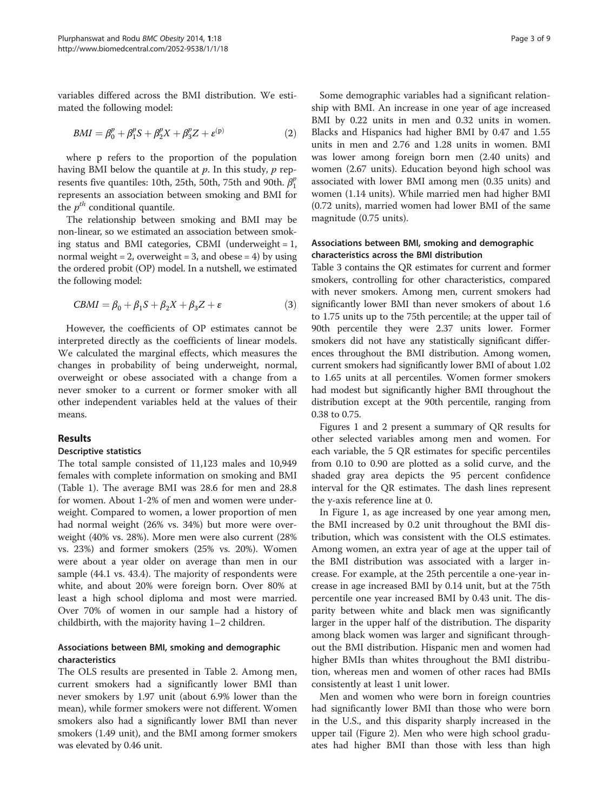variables differed across the BMI distribution. We estimated the following model:

$$
BMI = \beta_0^p + \beta_1^p S + \beta_2^p X + \beta_3^p Z + \varepsilon^{(p)}
$$
\n<sup>(2)</sup>

where p refers to the proportion of the population having BMI below the quantile at  $p$ . In this study,  $p$  represents five quantiles: 10th, 25th, 50th, 75th and 90th.  $\beta_1^p$ represents an association between smoking and BMI for the  $p^{th}$  conditional quantile.

The relationship between smoking and BMI may be non-linear, so we estimated an association between smoking status and BMI categories, CBMI (underweight  $= 1$ , normal weight = 2, overweight = 3, and obese = 4) by using the ordered probit (OP) model. In a nutshell, we estimated the following model:

$$
CBMI = \beta_0 + \beta_1 S + \beta_2 X + \beta_3 Z + \varepsilon \tag{3}
$$

However, the coefficients of OP estimates cannot be interpreted directly as the coefficients of linear models. We calculated the marginal effects, which measures the changes in probability of being underweight, normal, overweight or obese associated with a change from a never smoker to a current or former smoker with all other independent variables held at the values of their means.

## Results

#### Descriptive statistics

The total sample consisted of 11,123 males and 10,949 females with complete information on smoking and BMI (Table [1\)](#page-3-0). The average BMI was 28.6 for men and 28.8 for women. About 1-2% of men and women were underweight. Compared to women, a lower proportion of men had normal weight (26% vs. 34%) but more were overweight (40% vs. 28%). More men were also current (28% vs. 23%) and former smokers (25% vs. 20%). Women were about a year older on average than men in our sample (44.1 vs. 43.4). The majority of respondents were white, and about 20% were foreign born. Over 80% at least a high school diploma and most were married. Over 70% of women in our sample had a history of childbirth, with the majority having 1–2 children.

## Associations between BMI, smoking and demographic characteristics

The OLS results are presented in Table [2.](#page-3-0) Among men, current smokers had a significantly lower BMI than never smokers by 1.97 unit (about 6.9% lower than the mean), while former smokers were not different. Women smokers also had a significantly lower BMI than never smokers (1.49 unit), and the BMI among former smokers was elevated by 0.46 unit.

Some demographic variables had a significant relationship with BMI. An increase in one year of age increased BMI by 0.22 units in men and 0.32 units in women. Blacks and Hispanics had higher BMI by 0.47 and 1.55 units in men and 2.76 and 1.28 units in women. BMI was lower among foreign born men (2.40 units) and women (2.67 units). Education beyond high school was associated with lower BMI among men (0.35 units) and women (1.14 units). While married men had higher BMI (0.72 units), married women had lower BMI of the same magnitude (0.75 units).

## Associations between BMI, smoking and demographic characteristics across the BMI distribution

Table [3](#page-4-0) contains the QR estimates for current and former smokers, controlling for other characteristics, compared with never smokers. Among men, current smokers had significantly lower BMI than never smokers of about 1.6 to 1.75 units up to the 75th percentile; at the upper tail of 90th percentile they were 2.37 units lower. Former smokers did not have any statistically significant differences throughout the BMI distribution. Among women, current smokers had significantly lower BMI of about 1.02 to 1.65 units at all percentiles. Women former smokers had modest but significantly higher BMI throughout the distribution except at the 90th percentile, ranging from 0.38 to 0.75.

Figures [1](#page-5-0) and [2](#page-6-0) present a summary of QR results for other selected variables among men and women. For each variable, the 5 QR estimates for specific percentiles from 0.10 to 0.90 are plotted as a solid curve, and the shaded gray area depicts the 95 percent confidence interval for the QR estimates. The dash lines represent the y-axis reference line at 0.

In Figure [1](#page-5-0), as age increased by one year among men, the BMI increased by 0.2 unit throughout the BMI distribution, which was consistent with the OLS estimates. Among women, an extra year of age at the upper tail of the BMI distribution was associated with a larger increase. For example, at the 25th percentile a one-year increase in age increased BMI by 0.14 unit, but at the 75th percentile one year increased BMI by 0.43 unit. The disparity between white and black men was significantly larger in the upper half of the distribution. The disparity among black women was larger and significant throughout the BMI distribution. Hispanic men and women had higher BMIs than whites throughout the BMI distribution, whereas men and women of other races had BMIs consistently at least 1 unit lower.

Men and women who were born in foreign countries had significantly lower BMI than those who were born in the U.S., and this disparity sharply increased in the upper tail (Figure [2\)](#page-6-0). Men who were high school graduates had higher BMI than those with less than high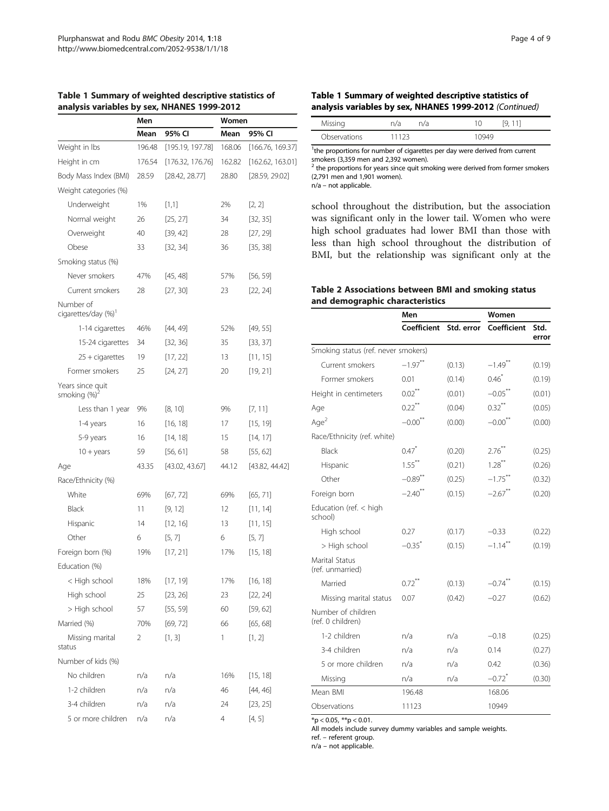|                                              | Men    |                  | Women  |                  |  |
|----------------------------------------------|--------|------------------|--------|------------------|--|
|                                              | Mean   | 95% CI           | Mean   | 95% CI           |  |
| Weight in Ibs                                | 196.48 | [195.19, 197.78] | 168.06 | [166.76, 169.37] |  |
| Height in cm                                 | 176.54 | [176.32, 176.76] | 162.82 | [162.62, 163.01] |  |
| Body Mass Index (BMI)                        | 28.59  | [28.42, 28.77]   | 28.80  | [28.59, 29.02]   |  |
| Weight categories (%)                        |        |                  |        |                  |  |
| Underweight                                  | 1%     | [1,1]            | 2%     | [2, 2]           |  |
| Normal weight                                | 26     | [25, 27]         | 34     | [32, 35]         |  |
| Overweight                                   | 40     | [39, 42]         | 28     | [27, 29]         |  |
| Obese                                        | 33     | [32, 34]         | 36     | [35, 38]         |  |
| Smoking status (%)                           |        |                  |        |                  |  |
| Never smokers                                | 47%    | [45, 48]         | 57%    | [56, 59]         |  |
| Current smokers                              | 28     | [27, 30]         | 23     | [22, 24]         |  |
| Number of<br>cigarettes/day (%) <sup>1</sup> |        |                  |        |                  |  |
| 1-14 cigarettes                              | 46%    | [44, 49]         | 52%    | [49, 55]         |  |
| 15-24 cigarettes                             | 34     | [32, 36]         | 35     | [33, 37]         |  |
| $25 +$ cigarettes                            | 19     | [17, 22]         | 13     | [11, 15]         |  |
| Former smokers                               | 25     | [24, 27]         | 20     | [19, 21]         |  |
| Years since quit<br>smoking (%) <sup>2</sup> |        |                  |        |                  |  |
| Less than 1 year                             | 9%     | [8, 10]          | 9%     | [7, 11]          |  |
| 1-4 years                                    | 16     | [16, 18]         | 17     | [15, 19]         |  |
| 5-9 years                                    | 16     | [14, 18]         | 15     | [14, 17]         |  |
| $10 + \text{years}$                          | 59     | [56, 61]         | 58     | [55, 62]         |  |
| Age                                          | 43.35  | [43.02, 43.67]   | 44.12  | [43.82, 44.42]   |  |
| Race/Ethnicity (%)                           |        |                  |        |                  |  |
| White                                        | 69%    | [67, 72]         | 69%    | [65, 71]         |  |
| <b>Black</b>                                 | 11     | [9, 12]          | 12     | [11, 14]         |  |
| Hispanic                                     | 14     | [12, 16]         | 13     | [11, 15]         |  |
| Other                                        | 6      | [5, 7]           | 6      | [5, 7]           |  |
| Foreign born (%)                             | 19%    | [17, 21]         | 17%    | [15, 18]         |  |
| Education (%)                                |        |                  |        |                  |  |
| < High school                                | 18%    | [17, 19]         | 17%    | [16, 18]         |  |
| High school                                  | 25     | [23, 26]         | 23     | [22, 24]         |  |
| > High school                                | 57     | [55, 59]         | 60     | [59, 62]         |  |
| Married (%)                                  | 70%    | [69, 72]         | 66     | [65, 68]         |  |
| Missing marital<br>status                    | 2      | [1, 3]           | 1      | [1, 2]           |  |
| Number of kids (%)                           |        |                  |        |                  |  |
| No children                                  | n/a    | n/a              | 16%    | [15, 18]         |  |
| 1-2 children                                 | n/a    | n/a              | 46     | [44, 46]         |  |
| 3-4 children                                 | n/a    | n/a              | 24     | [23, 25]         |  |
| 5 or more children                           | n/a    | n/a              | 4      | [4, 5]           |  |

#### <span id="page-3-0"></span>Table 1 Summary of weighted descriptive statistics of analysis variables by sex, NHANES 1999-2012

## Table 1 Summary of weighted descriptive statistics of analysis variables by sex, NHANES 1999-2012 (Continued)

| Observations<br>10949<br>11173 | Missing | /a<br>n/a | <b>[9.11</b> |
|--------------------------------|---------|-----------|--------------|
|                                |         |           |              |

<sup>1</sup> the proportions for number of cigarettes per day were derived from current smokers (3,359 men and 2,392 women).<br><sup>2</sup> the proportions for years since quit smoking were derived from former smokers

(2,791 men and 1,901 women). n/a – not applicable.

school throughout the distribution, but the association was significant only in the lower tail. Women who were high school graduates had lower BMI than those with less than high school throughout the distribution of BMI, but the relationship was significant only at the

## Table 2 Associations between BMI and smoking status and demographic characteristics

|                                         | Men                   |            | Women                 |               |  |
|-----------------------------------------|-----------------------|------------|-----------------------|---------------|--|
|                                         | Coefficient           | Std. error | Coefficient           | Std.<br>error |  |
| Smoking status (ref. never smokers)     |                       |            |                       |               |  |
| Current smokers                         | $-1.97***$            | (0.13)     | $-1.49$ <sup>**</sup> | (0.19)        |  |
| Former smokers                          | 0.01                  | (0.14)     | $0.46^{*}$            | (0.19)        |  |
| Height in centimeters                   | $0.02***$             | (0.01)     | $-0.05$ **            | (0.01)        |  |
| Age                                     | $0.22$ <sup>**</sup>  | (0.04)     | $0.32***$             | (0.05)        |  |
| Aqe <sup>2</sup>                        | $-0.00$ <sup>**</sup> | (0.00)     | $-0.00$ <sup>**</sup> | (0.00)        |  |
| Race/Ethnicity (ref. white)             |                       |            |                       |               |  |
| <b>Black</b>                            | $0.47$ <sup>*</sup>   | (0.20)     | $2.76***$             | (0.25)        |  |
| Hispanic                                | $1.55***$             | (0.21)     | $1.28$ <sup>**</sup>  | (0.26)        |  |
| Other                                   | $-0.89$ <sup>**</sup> | (0.25)     | $-1.75$ <sup>**</sup> | (0.32)        |  |
| Foreign born                            | $-2.40$ <sup>**</sup> | (0.15)     | $-2.67$ <sup>**</sup> | (0.20)        |  |
| Education (ref. < high<br>school)       |                       |            |                       |               |  |
| High school                             | 0.27                  | (0.17)     | $-0.33$               | (0.22)        |  |
| > High school                           | $-0.35$ <sup>*</sup>  | (0.15)     | $-1.14$ <sup>**</sup> | (0.19)        |  |
| Marital Status<br>(ref. unmarried)      |                       |            |                       |               |  |
| Married                                 | $0.72$ <sup>**</sup>  | (0.13)     | $-0.74$ <sup>**</sup> | (0.15)        |  |
| Missing marital status                  | 0.07                  | (0.42)     | $-0.27$               | (0.62)        |  |
| Number of children<br>(ref. 0 children) |                       |            |                       |               |  |
| 1-2 children                            | n/a                   | n/a        | $-0.18$               | (0.25)        |  |
| 3-4 children                            | n/a                   | n/a        | 0.14                  | (0.27)        |  |
| 5 or more children                      | n/a                   | n/a        | 0.42                  | (0.36)        |  |
| Missing                                 | n/a                   | n/a        | $-0.72$ <sup>*</sup>  | (0.30)        |  |
| Mean BMI                                | 196.48                |            | 168.06                |               |  |
| Observations                            | 11123                 |            | 10949                 |               |  |

 $*_{p < 0.05, *_{p < 0.01.}$ 

All models include survey dummy variables and sample weights. ref. – referent group.

n/a – not applicable.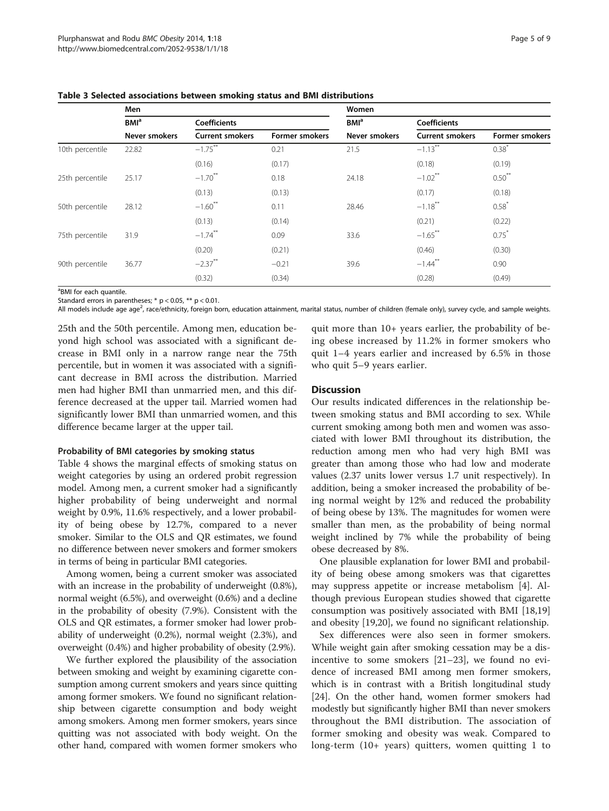|                 | Men                     |                        |                       | Women                   |                        |                       |
|-----------------|-------------------------|------------------------|-----------------------|-------------------------|------------------------|-----------------------|
|                 | <b>BMI</b> <sup>a</sup> | <b>Coefficients</b>    |                       | <b>BMI</b> <sup>a</sup> | <b>Coefficients</b>    |                       |
|                 | Never smokers           | <b>Current smokers</b> | <b>Former smokers</b> | Never smokers           | <b>Current smokers</b> | <b>Former smokers</b> |
| 10th percentile | 22.82                   | $-1.75***$             | 0.21                  | 21.5                    | $-1.13$ <sup>**</sup>  | $0.38^{*}$            |
|                 |                         | (0.16)                 | (0.17)                |                         | (0.18)                 | (0.19)                |
| 25th percentile | 25.17                   | $-1.70$ <sup>**</sup>  | 0.18                  | 24.18                   | $-1.02$ <sup>**</sup>  | $0.50***$             |
|                 |                         | (0.13)                 | (0.13)                |                         | (0.17)                 | (0.18)                |
| 50th percentile | 28.12                   | $-1.60$ <sup>**</sup>  | 0.11                  | 28.46                   | $-1.18***$             | $0.58^*$              |
|                 |                         | (0.13)                 | (0.14)                |                         | (0.21)                 | (0.22)                |
| 75th percentile | 31.9                    | $-1.74$ <sup>**</sup>  | 0.09                  | 33.6                    | $-1.65$ **             | 0.75                  |
|                 |                         | (0.20)                 | (0.21)                |                         | (0.46)                 | (0.30)                |
| 90th percentile | 36.77                   | $-2.37***$             | $-0.21$               | 39.6                    | $-1.44$ <sup>**</sup>  | 0.90                  |
|                 |                         | (0.32)                 | (0.34)                |                         | (0.28)                 | (0.49)                |

<span id="page-4-0"></span>Table 3 Selected associations between smoking status and BMI distributions

<sup>a</sup>BMI for each quantile.

Standard errors in parentheses;  $*$  p < 0.05,  $**$  p < 0.01.

All models include age age<sup>2</sup>, race/ethnicity, foreign born, education attainment, marital status, number of children (female only), survey cycle, and sample weights.

25th and the 50th percentile. Among men, education beyond high school was associated with a significant decrease in BMI only in a narrow range near the 75th percentile, but in women it was associated with a significant decrease in BMI across the distribution. Married men had higher BMI than unmarried men, and this difference decreased at the upper tail. Married women had significantly lower BMI than unmarried women, and this difference became larger at the upper tail.

#### Probability of BMI categories by smoking status

Table [4](#page-7-0) shows the marginal effects of smoking status on weight categories by using an ordered probit regression model. Among men, a current smoker had a significantly higher probability of being underweight and normal weight by 0.9%, 11.6% respectively, and a lower probability of being obese by 12.7%, compared to a never smoker. Similar to the OLS and QR estimates, we found no difference between never smokers and former smokers in terms of being in particular BMI categories.

Among women, being a current smoker was associated with an increase in the probability of underweight (0.8%), normal weight (6.5%), and overweight (0.6%) and a decline in the probability of obesity (7.9%). Consistent with the OLS and QR estimates, a former smoker had lower probability of underweight (0.2%), normal weight (2.3%), and overweight (0.4%) and higher probability of obesity (2.9%).

We further explored the plausibility of the association between smoking and weight by examining cigarette consumption among current smokers and years since quitting among former smokers. We found no significant relationship between cigarette consumption and body weight among smokers. Among men former smokers, years since quitting was not associated with body weight. On the other hand, compared with women former smokers who

quit more than 10+ years earlier, the probability of being obese increased by 11.2% in former smokers who quit 1–4 years earlier and increased by 6.5% in those who quit 5–9 years earlier.

### **Discussion**

Our results indicated differences in the relationship between smoking status and BMI according to sex. While current smoking among both men and women was associated with lower BMI throughout its distribution, the reduction among men who had very high BMI was greater than among those who had low and moderate values (2.37 units lower versus 1.7 unit respectively). In addition, being a smoker increased the probability of being normal weight by 12% and reduced the probability of being obese by 13%. The magnitudes for women were smaller than men, as the probability of being normal weight inclined by 7% while the probability of being obese decreased by 8%.

One plausible explanation for lower BMI and probability of being obese among smokers was that cigarettes may suppress appetite or increase metabolism [[4](#page-8-0)]. Although previous European studies showed that cigarette consumption was positively associated with BMI [[18](#page-8-0),[19](#page-8-0)] and obesity [\[19,20](#page-8-0)], we found no significant relationship.

Sex differences were also seen in former smokers. While weight gain after smoking cessation may be a disincentive to some smokers [[21](#page-8-0)–[23](#page-8-0)], we found no evidence of increased BMI among men former smokers, which is in contrast with a British longitudinal study [[24\]](#page-8-0). On the other hand, women former smokers had modestly but significantly higher BMI than never smokers throughout the BMI distribution. The association of former smoking and obesity was weak. Compared to long-term (10+ years) quitters, women quitting 1 to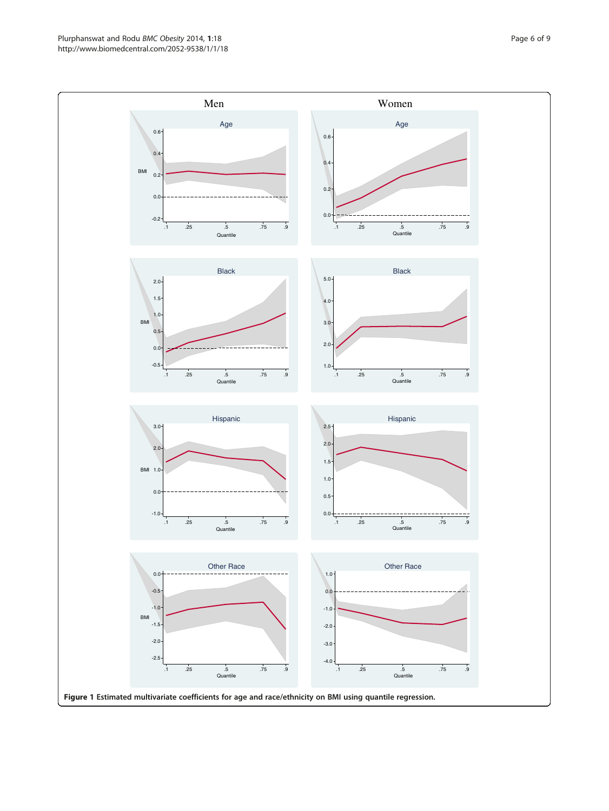<span id="page-5-0"></span>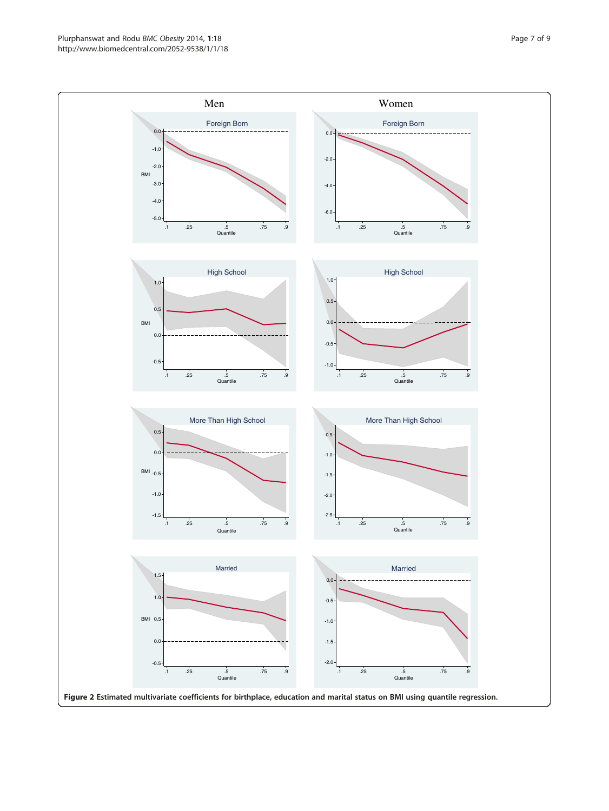

<span id="page-6-0"></span>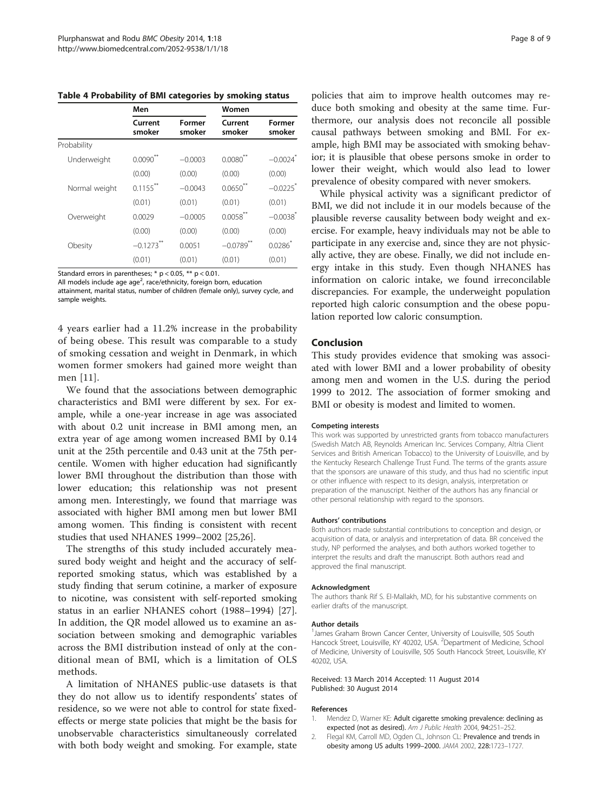<span id="page-7-0"></span>Table 4 Probability of BMI categories by smoking status

|               | Men               |                  | Women             |                        |
|---------------|-------------------|------------------|-------------------|------------------------|
|               | Current<br>smoker | Former<br>smoker | Current<br>smoker | Former<br>smoker       |
| Probability   |                   |                  |                   |                        |
| Underweight   | $0.0090^{\circ}$  | $-0.0003$        | $0.0080**$        | $-0.0024$              |
|               | (0.00)            | (0.00)           | (0.00)            | (0.00)                 |
| Normal weight | $0.1155***$       | $-0.0043$        | $0.0650^{**}$     | $-0.0225$              |
|               | (0.01)            | (0.01)           | (0.01)            | (0.01)                 |
| Overweight    | 0.0029            | $-0.0005$        | $0.0058$ **       | $-0.0038$ <sup>*</sup> |
|               | (0.00)            | (0.00)           | (0.00)            | (0.00)                 |
| Obesity       | $-0.1273***$      | 0.0051           | $-0.0789$ **      | $0.0286$ <sup>*</sup>  |
|               | (0.01)            | (0.01)           | (0.01)            | (0.01)                 |

Standard errors in parentheses; \* p < 0.05, \*\* p < 0.01.

All models include age age<sup>2</sup>, race/ethnicity, foreign born, education

attainment, marital status, number of children (female only), survey cycle, and sample weights.

4 years earlier had a 11.2% increase in the probability of being obese. This result was comparable to a study of smoking cessation and weight in Denmark, in which women former smokers had gained more weight than men [\[11\]](#page-8-0).

We found that the associations between demographic characteristics and BMI were different by sex. For example, while a one-year increase in age was associated with about 0.2 unit increase in BMI among men, an extra year of age among women increased BMI by 0.14 unit at the 25th percentile and 0.43 unit at the 75th percentile. Women with higher education had significantly lower BMI throughout the distribution than those with lower education; this relationship was not present among men. Interestingly, we found that marriage was associated with higher BMI among men but lower BMI among women. This finding is consistent with recent studies that used NHANES 1999–2002 [\[25,26\]](#page-8-0).

The strengths of this study included accurately measured body weight and height and the accuracy of selfreported smoking status, which was established by a study finding that serum cotinine, a marker of exposure to nicotine, was consistent with self-reported smoking status in an earlier NHANES cohort (1988–1994) [\[27](#page-8-0)]. In addition, the QR model allowed us to examine an association between smoking and demographic variables across the BMI distribution instead of only at the conditional mean of BMI, which is a limitation of OLS methods.

A limitation of NHANES public-use datasets is that they do not allow us to identify respondents' states of residence, so we were not able to control for state fixedeffects or merge state policies that might be the basis for unobservable characteristics simultaneously correlated with both body weight and smoking. For example, state

policies that aim to improve health outcomes may reduce both smoking and obesity at the same time. Furthermore, our analysis does not reconcile all possible causal pathways between smoking and BMI. For example, high BMI may be associated with smoking behavior; it is plausible that obese persons smoke in order to lower their weight, which would also lead to lower prevalence of obesity compared with never smokers.

While physical activity was a significant predictor of BMI, we did not include it in our models because of the plausible reverse causality between body weight and exercise. For example, heavy individuals may not be able to participate in any exercise and, since they are not physically active, they are obese. Finally, we did not include energy intake in this study. Even though NHANES has information on caloric intake, we found irreconcilable discrepancies. For example, the underweight population reported high caloric consumption and the obese population reported low caloric consumption.

## Conclusion

This study provides evidence that smoking was associated with lower BMI and a lower probability of obesity among men and women in the U.S. during the period 1999 to 2012. The association of former smoking and BMI or obesity is modest and limited to women.

#### Competing interests

This work was supported by unrestricted grants from tobacco manufacturers (Swedish Match AB, Reynolds American Inc. Services Company, Altria Client Services and British American Tobacco) to the University of Louisville, and by the Kentucky Research Challenge Trust Fund. The terms of the grants assure that the sponsors are unaware of this study, and thus had no scientific input or other influence with respect to its design, analysis, interpretation or preparation of the manuscript. Neither of the authors has any financial or other personal relationship with regard to the sponsors.

#### Authors' contributions

Both authors made substantial contributions to conception and design, or acquisition of data, or analysis and interpretation of data. BR conceived the study, NP performed the analyses, and both authors worked together to interpret the results and draft the manuscript. Both authors read and approved the final manuscript.

#### Acknowledgment

The authors thank Rif S. El-Mallakh, MD, for his substantive comments on earlier drafts of the manuscript.

#### Author details

<sup>1</sup> James Graham Brown Cancer Center, University of Louisville, 505 South Hancock Street, Louisville, KY 40202, USA. <sup>2</sup> Department of Medicine, School of Medicine, University of Louisville, 505 South Hancock Street, Louisville, KY 40202, USA.

#### Received: 13 March 2014 Accepted: 11 August 2014 Published: 30 August 2014

#### References

- 1. Mendez D, Warner KE: Adult cigarette smoking prevalence: declining as expected (not as desired). Am J Public Health 2004, 94:251–252.
- 2. Flegal KM, Carroll MD, Ogden CL, Johnson CL: Prevalence and trends in obesity among US adults 1999–2000. JAMA 2002, 228:1723–1727.